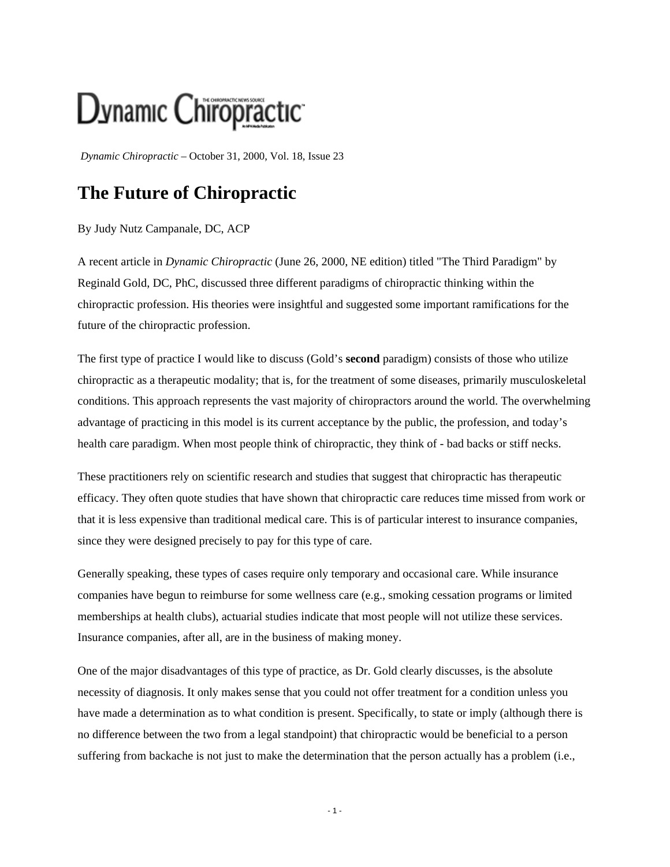## Dynamic Chiropractic

*Dynamic Chiropractic* – October 31, 2000, Vol. 18, Issue 23

## **The Future of Chiropractic**

## By Judy Nutz Campanale, DC, ACP

A recent article in *Dynamic Chiropractic* (June 26, 2000, NE edition) titled "The Third Paradigm" by Reginald Gold, DC, PhC, discussed three different paradigms of chiropractic thinking within the chiropractic profession. His theories were insightful and suggested some important ramifications for the future of the chiropractic profession.

The first type of practice I would like to discuss (Gold's **second** paradigm) consists of those who utilize chiropractic as a therapeutic modality; that is, for the treatment of some diseases, primarily musculoskeletal conditions. This approach represents the vast majority of chiropractors around the world. The overwhelming advantage of practicing in this model is its current acceptance by the public, the profession, and today's health care paradigm. When most people think of chiropractic, they think of - bad backs or stiff necks.

These practitioners rely on scientific research and studies that suggest that chiropractic has therapeutic efficacy. They often quote studies that have shown that chiropractic care reduces time missed from work or that it is less expensive than traditional medical care. This is of particular interest to insurance companies, since they were designed precisely to pay for this type of care.

Generally speaking, these types of cases require only temporary and occasional care. While insurance companies have begun to reimburse for some wellness care (e.g., smoking cessation programs or limited memberships at health clubs), actuarial studies indicate that most people will not utilize these services. Insurance companies, after all, are in the business of making money.

One of the major disadvantages of this type of practice, as Dr. Gold clearly discusses, is the absolute necessity of diagnosis. It only makes sense that you could not offer treatment for a condition unless you have made a determination as to what condition is present. Specifically, to state or imply (although there is no difference between the two from a legal standpoint) that chiropractic would be beneficial to a person suffering from backache is not just to make the determination that the person actually has a problem (i.e.,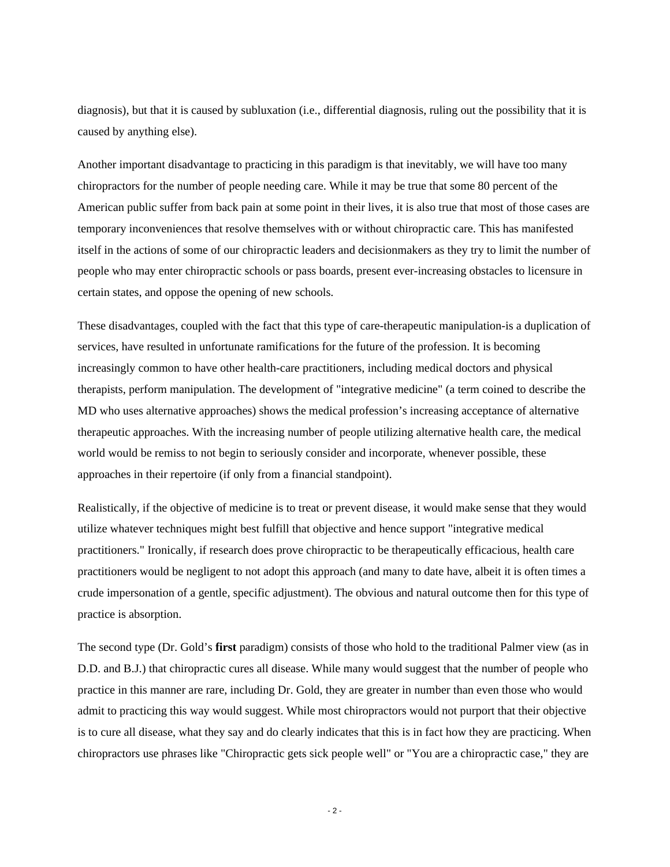diagnosis), but that it is caused by subluxation (i.e., differential diagnosis, ruling out the possibility that it is caused by anything else).

Another important disadvantage to practicing in this paradigm is that inevitably, we will have too many chiropractors for the number of people needing care. While it may be true that some 80 percent of the American public suffer from back pain at some point in their lives, it is also true that most of those cases are temporary inconveniences that resolve themselves with or without chiropractic care. This has manifested itself in the actions of some of our chiropractic leaders and decisionmakers as they try to limit the number of people who may enter chiropractic schools or pass boards, present ever-increasing obstacles to licensure in certain states, and oppose the opening of new schools.

These disadvantages, coupled with the fact that this type of care-therapeutic manipulation-is a duplication of services, have resulted in unfortunate ramifications for the future of the profession. It is becoming increasingly common to have other health-care practitioners, including medical doctors and physical therapists, perform manipulation. The development of "integrative medicine" (a term coined to describe the MD who uses alternative approaches) shows the medical profession's increasing acceptance of alternative therapeutic approaches. With the increasing number of people utilizing alternative health care, the medical world would be remiss to not begin to seriously consider and incorporate, whenever possible, these approaches in their repertoire (if only from a financial standpoint).

Realistically, if the objective of medicine is to treat or prevent disease, it would make sense that they would utilize whatever techniques might best fulfill that objective and hence support "integrative medical practitioners." Ironically, if research does prove chiropractic to be therapeutically efficacious, health care practitioners would be negligent to not adopt this approach (and many to date have, albeit it is often times a crude impersonation of a gentle, specific adjustment). The obvious and natural outcome then for this type of practice is absorption.

The second type (Dr. Gold's **first** paradigm) consists of those who hold to the traditional Palmer view (as in D.D. and B.J.) that chiropractic cures all disease. While many would suggest that the number of people who practice in this manner are rare, including Dr. Gold, they are greater in number than even those who would admit to practicing this way would suggest. While most chiropractors would not purport that their objective is to cure all disease, what they say and do clearly indicates that this is in fact how they are practicing. When chiropractors use phrases like "Chiropractic gets sick people well" or "You are a chiropractic case," they are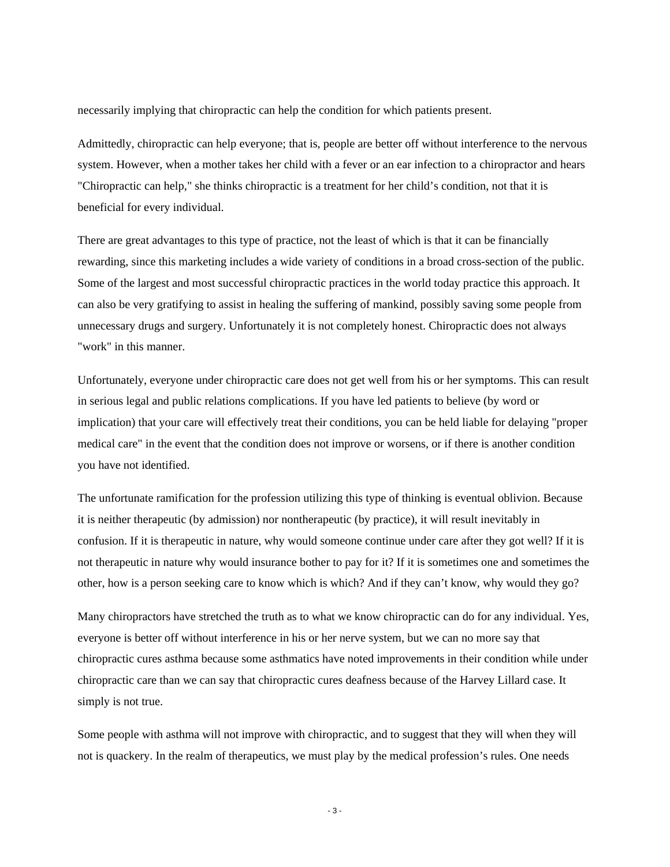necessarily implying that chiropractic can help the condition for which patients present.

Admittedly, chiropractic can help everyone; that is, people are better off without interference to the nervous system. However, when a mother takes her child with a fever or an ear infection to a chiropractor and hears "Chiropractic can help," she thinks chiropractic is a treatment for her child's condition, not that it is beneficial for every individual.

There are great advantages to this type of practice, not the least of which is that it can be financially rewarding, since this marketing includes a wide variety of conditions in a broad cross-section of the public. Some of the largest and most successful chiropractic practices in the world today practice this approach. It can also be very gratifying to assist in healing the suffering of mankind, possibly saving some people from unnecessary drugs and surgery. Unfortunately it is not completely honest. Chiropractic does not always "work" in this manner.

Unfortunately, everyone under chiropractic care does not get well from his or her symptoms. This can result in serious legal and public relations complications. If you have led patients to believe (by word or implication) that your care will effectively treat their conditions, you can be held liable for delaying "proper medical care" in the event that the condition does not improve or worsens, or if there is another condition you have not identified.

The unfortunate ramification for the profession utilizing this type of thinking is eventual oblivion. Because it is neither therapeutic (by admission) nor nontherapeutic (by practice), it will result inevitably in confusion. If it is therapeutic in nature, why would someone continue under care after they got well? If it is not therapeutic in nature why would insurance bother to pay for it? If it is sometimes one and sometimes the other, how is a person seeking care to know which is which? And if they can't know, why would they go?

Many chiropractors have stretched the truth as to what we know chiropractic can do for any individual. Yes, everyone is better off without interference in his or her nerve system, but we can no more say that chiropractic cures asthma because some asthmatics have noted improvements in their condition while under chiropractic care than we can say that chiropractic cures deafness because of the Harvey Lillard case. It simply is not true.

Some people with asthma will not improve with chiropractic, and to suggest that they will when they will not is quackery. In the realm of therapeutics, we must play by the medical profession's rules. One needs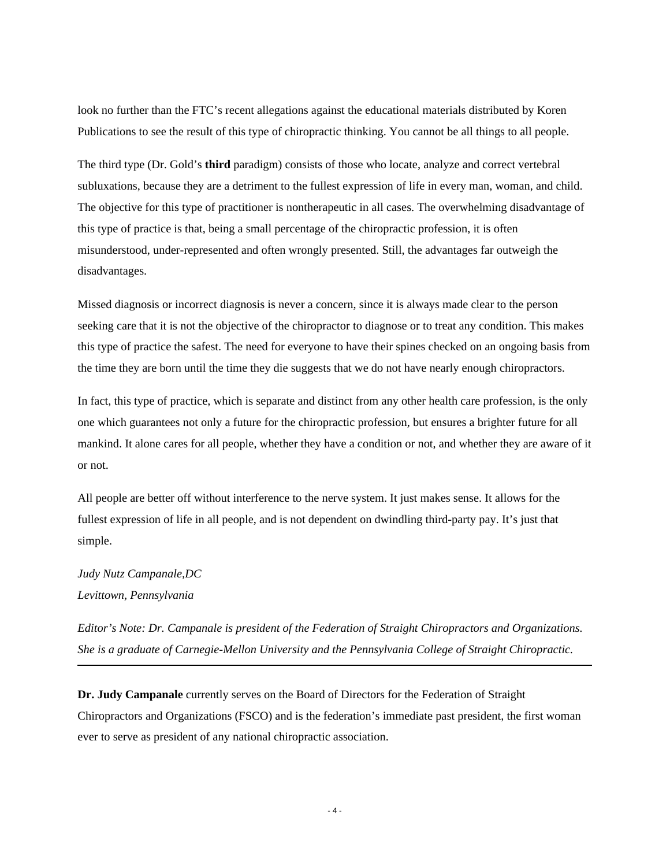look no further than the FTC's recent allegations against the educational materials distributed by Koren Publications to see the result of this type of chiropractic thinking. You cannot be all things to all people.

The third type (Dr. Gold's **third** paradigm) consists of those who locate, analyze and correct vertebral subluxations, because they are a detriment to the fullest expression of life in every man, woman, and child. The objective for this type of practitioner is nontherapeutic in all cases. The overwhelming disadvantage of this type of practice is that, being a small percentage of the chiropractic profession, it is often misunderstood, under-represented and often wrongly presented. Still, the advantages far outweigh the disadvantages.

Missed diagnosis or incorrect diagnosis is never a concern, since it is always made clear to the person seeking care that it is not the objective of the chiropractor to diagnose or to treat any condition. This makes this type of practice the safest. The need for everyone to have their spines checked on an ongoing basis from the time they are born until the time they die suggests that we do not have nearly enough chiropractors.

In fact, this type of practice, which is separate and distinct from any other health care profession, is the only one which guarantees not only a future for the chiropractic profession, but ensures a brighter future for all mankind. It alone cares for all people, whether they have a condition or not, and whether they are aware of it or not.

All people are better off without interference to the nerve system. It just makes sense. It allows for the fullest expression of life in all people, and is not dependent on dwindling third-party pay. It's just that simple.

## *Judy Nutz Campanale,DC Levittown, Pennsylvania*

*Editor's Note: Dr. Campanale is president of the Federation of Straight Chiropractors and Organizations. She is a graduate of Carnegie-Mellon University and the Pennsylvania College of Straight Chiropractic.*

**Dr. Judy Campanale** currently serves on the Board of Directors for the Federation of Straight Chiropractors and Organizations (FSCO) and is the federation's immediate past president, the first woman ever to serve as president of any national chiropractic association.